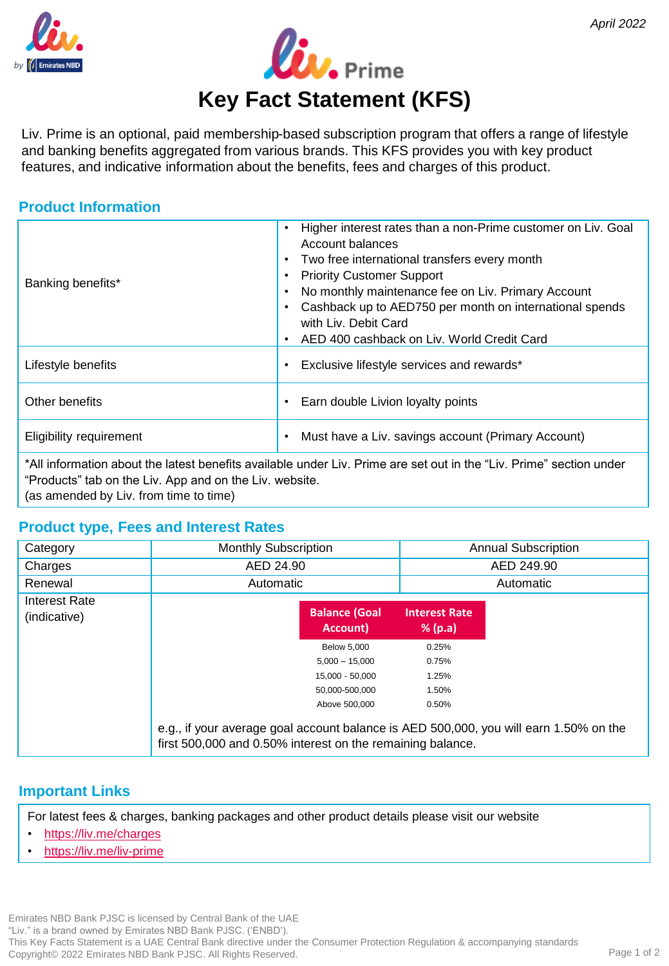



Liv. Prime is an optional, paid membership-based subscription program that offers a range of lifestyle and banking benefits aggregated from various brands. This KFS provides you with key product features, and indicative information about the benefits, fees and charges of this product.

#### **Product Information**

| Banking benefits*                                                                                                                                                              | Higher interest rates than a non-Prime customer on Liv. Goal<br>Account balances<br>Two free international transfers every month<br><b>Priority Customer Support</b><br>No monthly maintenance fee on Liv. Primary Account<br>Cashback up to AED750 per month on international spends<br>with Liv. Debit Card<br>AED 400 cashback on Liv. World Credit Card |  |  |  |
|--------------------------------------------------------------------------------------------------------------------------------------------------------------------------------|-------------------------------------------------------------------------------------------------------------------------------------------------------------------------------------------------------------------------------------------------------------------------------------------------------------------------------------------------------------|--|--|--|
| Lifestyle benefits                                                                                                                                                             | Exclusive lifestyle services and rewards*<br>$\bullet$                                                                                                                                                                                                                                                                                                      |  |  |  |
| Other benefits                                                                                                                                                                 | Earn double Livion loyalty points<br>$\bullet$                                                                                                                                                                                                                                                                                                              |  |  |  |
| Eligibility requirement                                                                                                                                                        | Must have a Liv. savings account (Primary Account)<br>$\bullet$                                                                                                                                                                                                                                                                                             |  |  |  |
| *All information about the latest benefits available under Liv. Prime are set out in the "Liv. Prime" section under<br>"Products" tab on the Liv. App and on the Liv. website. |                                                                                                                                                                                                                                                                                                                                                             |  |  |  |

(as amended by Liv. from time to time)

### **Product type, Fees and Interest Rates**

| Category                      | <b>Monthly Subscription</b>                                                                                                                         |                                  | <b>Annual Subscription</b>      |  |  |
|-------------------------------|-----------------------------------------------------------------------------------------------------------------------------------------------------|----------------------------------|---------------------------------|--|--|
| Charges                       | AED 24.90                                                                                                                                           |                                  | AED 249.90                      |  |  |
| Renewal                       | Automatic                                                                                                                                           |                                  | Automatic                       |  |  |
| Interest Rate<br>(indicative) |                                                                                                                                                     | <b>Balance (Goal</b><br>Account) | <b>Interest Rate</b><br>% (p.a) |  |  |
|                               |                                                                                                                                                     | <b>Below 5,000</b>               | 0.25%                           |  |  |
|                               |                                                                                                                                                     | $5,000 - 15,000$                 | 0.75%                           |  |  |
|                               |                                                                                                                                                     | 15,000 - 50,000                  | 1.25%                           |  |  |
|                               |                                                                                                                                                     | 50,000-500,000                   | 1.50%                           |  |  |
|                               |                                                                                                                                                     | Above 500,000                    | 0.50%                           |  |  |
|                               | e.g., if your average goal account balance is AED 500,000, you will earn 1.50% on the<br>first 500,000 and 0.50% interest on the remaining balance. |                                  |                                 |  |  |

### **Important Links**

For latest fees & charges, banking packages and other product details please visit our website

- <https://liv.me/charges>
- <https://liv.me/liv-prime>

Emirates NBD Bank PJSC is licensed by Central Bank of the UAE "Liv." is a brand owned by Emirates NBD Bank PJSC. ('ENBD'). This Key Facts Statement is a UAE Central Bank directive under the Consumer Protection Regulation & accompanying standards Copyright© 2022 Emirates NBD Bank PJSC. All Rights Reserved.